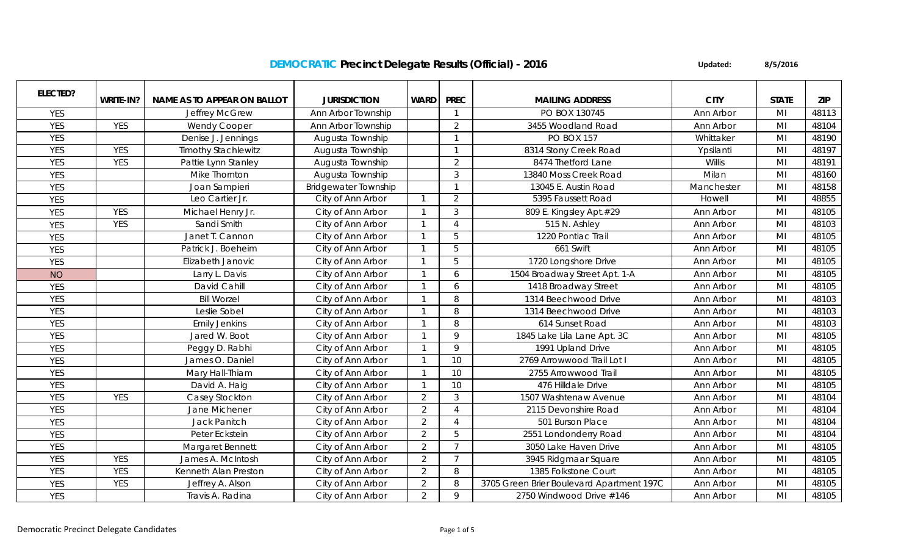## **DEMOCRATIC Precinct Delegate Results (Official) - 2016**

**Updated: 8/5/2016**

| <b>ELECTED?</b> |            |                             |                             |                |                |                                           |             |                |            |
|-----------------|------------|-----------------------------|-----------------------------|----------------|----------------|-------------------------------------------|-------------|----------------|------------|
|                 | WRITE-IN?  | NAME AS TO APPEAR ON BALLOT | <b>JURISDICTION</b>         | <b>WARD</b>    | <b>PREC</b>    | <b>MAILING ADDRESS</b>                    | <b>CITY</b> | <b>STATE</b>   | <b>ZIP</b> |
| <b>YES</b>      |            | <b>Jeffrey McGrew</b>       | Ann Arbor Township          |                |                | PO BOX 130745                             | Ann Arbor   | MI             | 48113      |
| <b>YES</b>      | <b>YES</b> | <b>Wendy Cooper</b>         | Ann Arbor Township          |                | 2              | 3455 Woodland Road                        | Ann Arbor   | MI             | 48104      |
| <b>YES</b>      |            | Denise J. Jennings          | Augusta Township            |                |                | <b>PO BOX 157</b>                         | Whittaker   | MI             | 48190      |
| <b>YES</b>      | <b>YES</b> | <b>Timothy Stachlewitz</b>  | Augusta Township            |                |                | 8314 Stony Creek Road                     | Ypsilanti   | MI             | 48197      |
| <b>YES</b>      | <b>YES</b> | Pattie Lynn Stanley         | Augusta Township            |                | $\overline{2}$ | 8474 Thetford Lane                        | Willis      | M <sub>l</sub> | 48191      |
| <b>YES</b>      |            | Mike Thornton               | Augusta Township            |                | 3              | 13840 Moss Creek Road                     | Milan       | M <sub>l</sub> | 48160      |
| <b>YES</b>      |            | Joan Sampieri               | <b>Bridgewater Township</b> |                |                | 13045 E. Austin Road                      | Manchester  | MI             | 48158      |
| <b>YES</b>      |            | Leo Cartier Jr.             | City of Ann Arbor           | $\mathbf{1}$   | 2              | 5395 Faussett Road                        | Howell      | MI             | 48855      |
| <b>YES</b>      | <b>YES</b> | Michael Henry Jr.           | City of Ann Arbor           | $\overline{1}$ | 3              | 809 E. Kingsley Apt.#29                   | Ann Arbor   | MI             | 48105      |
| <b>YES</b>      | <b>YES</b> | Sandi Smith                 | City of Ann Arbor           | $\mathbf{1}$   | $\Lambda$      | 515 N. Ashley                             | Ann Arbor   | MI             | 48103      |
| <b>YES</b>      |            | Janet T. Cannon             | City of Ann Arbor           |                | 5              | 1220 Pontiac Trail                        | Ann Arbor   | MI             | 48105      |
| <b>YES</b>      |            | Patrick J. Boeheim          | City of Ann Arbor           | $\overline{1}$ | 5              | 661 Swift                                 | Ann Arbor   | M <sub>l</sub> | 48105      |
| <b>YES</b>      |            | Elizabeth Janovic           | City of Ann Arbor           | -1             | 5              | 1720 Longshore Drive                      | Ann Arbor   | MI             | 48105      |
| <b>NO</b>       |            | Larry L. Davis              | City of Ann Arbor           |                | 6              | 1504 Broadway Street Apt. 1-A             | Ann Arbor   | MI             | 48105      |
| <b>YES</b>      |            | David Cahill                | City of Ann Arbor           |                | 6              | 1418 Broadway Street                      | Ann Arbor   | MI             | 48105      |
| <b>YES</b>      |            | <b>Bill Worzel</b>          | City of Ann Arbor           |                | 8              | 1314 Beechwood Drive                      | Ann Arbor   | M <sub>l</sub> | 48103      |
| <b>YES</b>      |            | Leslie Sobel                | City of Ann Arbor           |                | 8              | 1314 Beechwood Drive                      | Ann Arbor   | M <sub>l</sub> | 48103      |
| <b>YES</b>      |            | <b>Emily Jenkins</b>        | City of Ann Arbor           |                | 8              | 614 Sunset Road                           | Ann Arbor   | MI             | 48103      |
| <b>YES</b>      |            | Jared W. Boot               | City of Ann Arbor           |                | $\mathsf Q$    | 1845 Lake Lila Lane Apt. 3C               | Ann Arbor   | MI             | 48105      |
| <b>YES</b>      |            | Peggy D. Rabhi              | City of Ann Arbor           |                | $\mathsf{Q}$   | 1991 Upland Drive                         | Ann Arbor   | M <sub>l</sub> | 48105      |
| <b>YES</b>      |            | James O. Daniel             | City of Ann Arbor           |                | 10             | 2769 Arrowwood Trail Lot I                | Ann Arbor   | M <sub>l</sub> | 48105      |
| <b>YES</b>      |            | Mary Hall-Thiam             | City of Ann Arbor           |                | 10             | 2755 Arrowwood Trail                      | Ann Arbor   | M <sub>l</sub> | 48105      |
| <b>YES</b>      |            | David A. Haig               | City of Ann Arbor           |                | 10             | 476 Hilldale Drive                        | Ann Arbor   | M <sub>l</sub> | 48105      |
| <b>YES</b>      | <b>YES</b> | Casey Stockton              | City of Ann Arbor           | 2              | $\mathfrak{Z}$ | 1507 Washtenaw Avenue                     | Ann Arbor   | MI             | 48104      |
| <b>YES</b>      |            | Jane Michener               | City of Ann Arbor           | $\overline{2}$ | $\Delta$       | 2115 Devonshire Road                      | Ann Arbor   | M <sub>l</sub> | 48104      |
| <b>YES</b>      |            | <b>Jack Panitch</b>         | City of Ann Arbor           | $\overline{2}$ |                | 501 Burson Place                          | Ann Arbor   | M <sub>l</sub> | 48104      |
| <b>YES</b>      |            | Peter Eckstein              | City of Ann Arbor           | 2              | 5              | 2551 Londonderry Road                     | Ann Arbor   | M <sub>l</sub> | 48104      |
| <b>YES</b>      |            | Margaret Bennett            | City of Ann Arbor           | $\overline{2}$ | $\overline{7}$ | 3050 Lake Haven Drive                     | Ann Arbor   | M <sub>l</sub> | 48105      |
| <b>YES</b>      | <b>YES</b> | James A. McIntosh           | City of Ann Arbor           | $\overline{2}$ | $\overline{7}$ | 3945 Ridgmaar Square                      | Ann Arbor   | MI             | 48105      |
| <b>YES</b>      | <b>YES</b> | Kenneth Alan Preston        | City of Ann Arbor           | $\overline{2}$ | 8              | 1385 Folkstone Court                      | Ann Arbor   | MI             | 48105      |
| <b>YES</b>      | <b>YES</b> | Jeffrey A. Alson            | City of Ann Arbor           | $\overline{2}$ | 8              | 3705 Green Brier Boulevard Apartment 197C | Ann Arbor   | M <sub>l</sub> | 48105      |
| <b>YES</b>      |            | Travis A. Radina            | City of Ann Arbor           | $\overline{2}$ | 9              | 2750 Windwood Drive #146                  | Ann Arbor   | MI             | 48105      |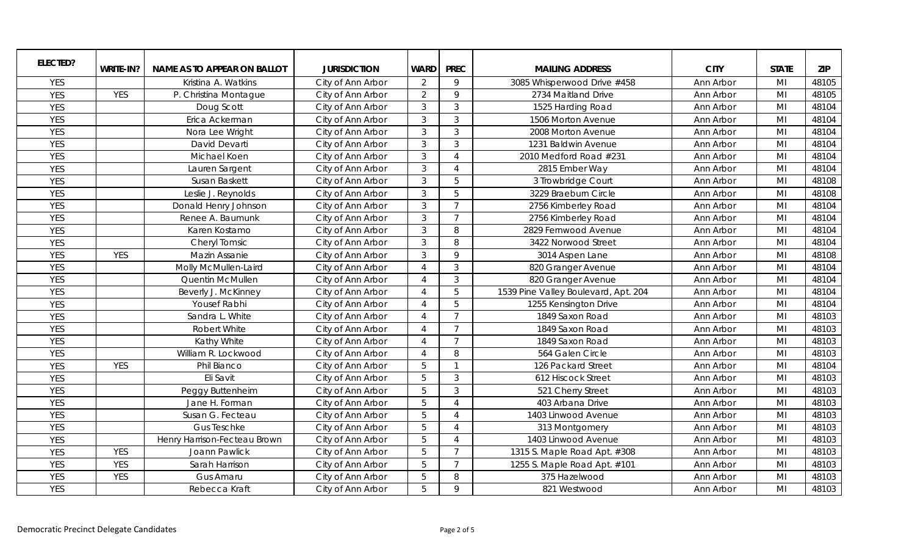| <b>ELECTED?</b> |            |                                    |                     |                             |                |                                      |             |                |            |
|-----------------|------------|------------------------------------|---------------------|-----------------------------|----------------|--------------------------------------|-------------|----------------|------------|
|                 | WRITE-IN?  | <b>NAME AS TO APPEAR ON BALLOT</b> | <b>JURISDICTION</b> | <b>WARD</b>                 | <b>PREC</b>    | <b>MAILING ADDRESS</b>               | <b>CITY</b> | <b>STATE</b>   | <b>ZIP</b> |
| <b>YES</b>      |            | Kristina A. Watkins                | City of Ann Arbor   | 2                           | 9              | 3085 Whisperwood Drive #458          | Ann Arbor   | MI             | 48105      |
| <b>YES</b>      | YES        | P. Christina Montague              | City of Ann Arbor   | 2                           | $\mathsf{Q}$   | 2734 Maitland Drive                  | Ann Arbor   | MI             | 48105      |
| <b>YES</b>      |            | Doug Scott                         | City of Ann Arbor   | 3                           | 3              | 1525 Harding Road                    | Ann Arbor   | MI             | 48104      |
| <b>YES</b>      |            | Erica Ackerman                     | City of Ann Arbor   | $\mathfrak{Z}$              | 3              | 1506 Morton Avenue                   | Ann Arbor   | MI             | 48104      |
| <b>YES</b>      |            | Nora Lee Wright                    | City of Ann Arbor   | 3                           | 3              | 2008 Morton Avenue                   | Ann Arbor   | MI             | 48104      |
| <b>YES</b>      |            | David Devarti                      | City of Ann Arbor   | $\mathfrak{Z}$              | 3              | 1231 Baldwin Avenue                  | Ann Arbor   | MI             | 48104      |
| <b>YES</b>      |            | Michael Koen                       | City of Ann Arbor   | 3                           | $\Delta$       | 2010 Medford Road #231               | Ann Arbor   | MI             | 48104      |
| <b>YES</b>      |            | Lauren Sargent                     | City of Ann Arbor   | 3                           | $\Delta$       | 2815 Ember Way                       | Ann Arbor   | MI             | 48104      |
| <b>YES</b>      |            | Susan Baskett                      | City of Ann Arbor   | 3                           | 5              | 3 Trowbridge Court                   | Ann Arbor   | MI             | 48108      |
| <b>YES</b>      |            | Leslie J. Reynolds                 | City of Ann Arbor   | 3                           | 5              | 3229 Braeburn Circle                 | Ann Arbor   | MI             | 48108      |
| <b>YES</b>      |            | Donald Henry Johnson               | City of Ann Arbor   | $\mathcal{S}$               | $\overline{7}$ | 2756 Kimberley Road                  | Ann Arbor   | MI             | 48104      |
| <b>YES</b>      |            | Renee A. Baumunk                   | City of Ann Arbor   | 3                           | 7              | 2756 Kimberley Road                  | Ann Arbor   | MI             | 48104      |
| <b>YES</b>      |            | Karen Kostamo                      | City of Ann Arbor   | $\mathfrak{Z}$              | 8              | 2829 Fernwood Avenue                 | Ann Arbor   | M <sub>l</sub> | 48104      |
| <b>YES</b>      |            | <b>Cheryl Tomsic</b>               | City of Ann Arbor   | 3                           | 8              | 3422 Norwood Street                  | Ann Arbor   | M <sub>l</sub> | 48104      |
| <b>YES</b>      | <b>YES</b> | Mazin Assanie                      | City of Ann Arbor   | 3                           | $\mathsf Q$    | 3014 Aspen Lane                      | Ann Arbor   | M <sub>l</sub> | 48108      |
| <b>YES</b>      |            | Molly McMullen-Laird               | City of Ann Arbor   | $\Delta$                    | 3              | 820 Granger Avenue                   | Ann Arbor   | MI             | 48104      |
| <b>YES</b>      |            | Quentin McMullen                   | City of Ann Arbor   |                             | 3              | 820 Granger Avenue                   | Ann Arbor   | MI             | 48104      |
| <b>YES</b>      |            | Beverly J. McKinney                | City of Ann Arbor   | $\Delta$                    | 5              | 1539 Pine Valley Boulevard, Apt. 204 | Ann Arbor   | MI             | 48104      |
| <b>YES</b>      |            | Yousef Rabhi                       | City of Ann Arbor   | $\boldsymbol{\vartriangle}$ | 5              | 1255 Kensington Drive                | Ann Arbor   | MI             | 48104      |
| <b>YES</b>      |            | Sandra L. White                    | City of Ann Arbor   | $\boldsymbol{\varLambda}$   | $\overline{7}$ | 1849 Saxon Road                      | Ann Arbor   | MI             | 48103      |
| <b>YES</b>      |            | <b>Robert White</b>                | City of Ann Arbor   | $\boldsymbol{\varLambda}$   | $\overline{7}$ | 1849 Saxon Road                      | Ann Arbor   | MI             | 48103      |
| <b>YES</b>      |            | Kathy White                        | City of Ann Arbor   | $\mathcal{A}$               | $\overline{7}$ | 1849 Saxon Road                      | Ann Arbor   | M <sub>l</sub> | 48103      |
| <b>YES</b>      |            | William R. Lockwood                | City of Ann Arbor   | $\overline{A}$              | 8              | 564 Galen Circle                     | Ann Arbor   | M <sub>l</sub> | 48103      |
| <b>YES</b>      | <b>YES</b> | Phil Bianco                        | City of Ann Arbor   | 5                           | $\mathbf{1}$   | 126 Packard Street                   | Ann Arbor   | MI             | 48104      |
| <b>YES</b>      |            | Eli Savit                          | City of Ann Arbor   | 5                           | 3              | 612 Hiscock Street                   | Ann Arbor   | MI             | 48103      |
| <b>YES</b>      |            | Peggy Buttenheim                   | City of Ann Arbor   | 5                           | $\mathfrak{Z}$ | 521 Cherry Street                    | Ann Arbor   | M <sub>l</sub> | 48103      |
| <b>YES</b>      |            | Jane H. Forman                     | City of Ann Arbor   | 5                           | $\Delta$       | 403 Arbana Drive                     | Ann Arbor   | MI             | 48103      |
| <b>YES</b>      |            | Susan G. Fecteau                   | City of Ann Arbor   | 5                           | $\Lambda$      | 1403 Linwood Avenue                  | Ann Arbor   | MI             | 48103      |
| <b>YES</b>      |            | <b>Gus Teschke</b>                 | City of Ann Arbor   | $5\overline{5}$             | $\Delta$       | 313 Montgomery                       | Ann Arbor   | MI             | 48103      |
| <b>YES</b>      |            | Henry Harrison-Fecteau Brown       | City of Ann Arbor   | 5                           | $\Delta$       | 1403 Linwood Avenue                  | Ann Arbor   | M <sub>l</sub> | 48103      |
| <b>YES</b>      | <b>YES</b> | Joann Pawlick                      | City of Ann Arbor   | $5\overline{5}$             | $\overline{7}$ | 1315 S. Maple Road Apt. #308         | Ann Arbor   | M <sub>l</sub> | 48103      |
| <b>YES</b>      | <b>YES</b> | Sarah Harrison                     | City of Ann Arbor   | $5\overline{5}$             | $\overline{7}$ | 1255 S. Maple Road Apt. #101         | Ann Arbor   | MI             | 48103      |
| <b>YES</b>      | <b>YES</b> | <b>Gus Amaru</b>                   | City of Ann Arbor   | 5                           | 8              | 375 Hazelwood                        | Ann Arbor   | MI             | 48103      |
| <b>YES</b>      |            | Rebecca Kraft                      | City of Ann Arbor   | 5                           | 9              | 821 Westwood                         | Ann Arbor   | MI             | 48103      |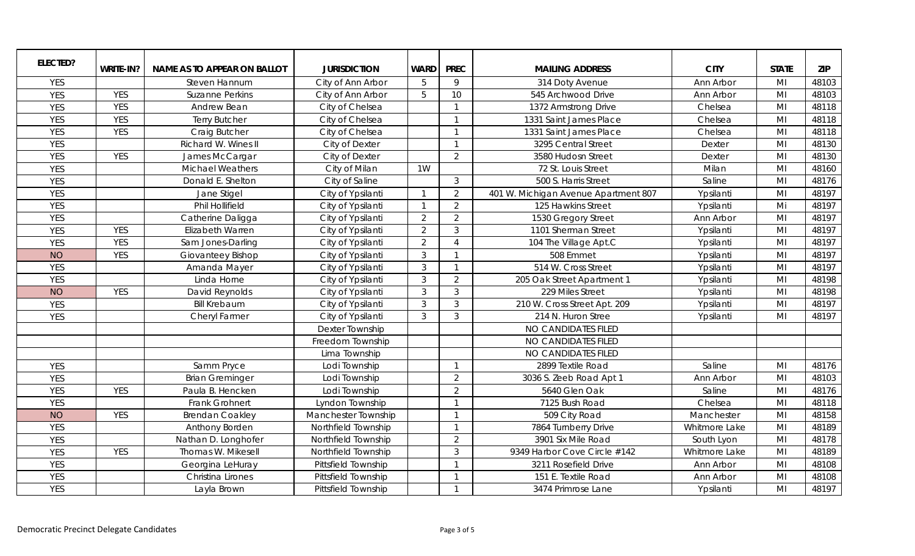| <b>ELECTED?</b> |            |                                    |                     |                |                          |                                      |               |                |            |
|-----------------|------------|------------------------------------|---------------------|----------------|--------------------------|--------------------------------------|---------------|----------------|------------|
|                 | WRITE-IN?  | <b>NAME AS TO APPEAR ON BALLOT</b> | <b>JURISDICTION</b> | <b>WARD</b>    | <b>PREC</b>              | <b>MAILING ADDRESS</b>               | <b>CITY</b>   | <b>STATE</b>   | <b>ZIP</b> |
| <b>YES</b>      |            | Steven Hannum                      | City of Ann Arbor   | 5              | 9                        | 314 Doty Avenue                      | Ann Arbor     | MI             | 48103      |
| <b>YES</b>      | <b>YES</b> | <b>Suzanne Perkins</b>             | City of Ann Arbor   | 5              | 10                       | 545 Archwood Drive                   | Ann Arbor     | MI             | 48103      |
| <b>YES</b>      | <b>YES</b> | Andrew Bean                        | City of Chelsea     |                | $\overline{\phantom{0}}$ | 1372 Armstrong Drive                 | Chelsea       | MI             | 48118      |
| <b>YES</b>      | <b>YES</b> | <b>Terry Butcher</b>               | City of Chelsea     |                | $\overline{\phantom{0}}$ | 1331 Saint James Place               | Chelsea       | MI             | 48118      |
| <b>YES</b>      | <b>YES</b> | Craig Butcher                      | City of Chelsea     |                | $\overline{1}$           | 1331 Saint James Place               | Chelsea       | MI             | 48118      |
| <b>YES</b>      |            | Richard W. Wines II                | City of Dexter      |                | $\overline{\phantom{0}}$ | 3295 Central Street                  | Dexter        | MI             | 48130      |
| <b>YES</b>      | <b>YES</b> | James McCargar                     | City of Dexter      |                | 2                        | 3580 Hudosn Street                   | Dexter        | MI             | 48130      |
| <b>YES</b>      |            | <b>Michael Weathers</b>            | City of Milan       | 1W             |                          | 72 St. Louis Street                  | Milan         | MI             | 48160      |
| <b>YES</b>      |            | Donald E. Shelton                  | City of Saline      |                | $\mathbf{3}$             | 500 S. Harris Street                 | Saline        | M <sub>l</sub> | 48176      |
| <b>YES</b>      |            | Jane Stigel                        | City of Ypsilanti   |                | 2                        | 401 W. Michigan Avenue Apartment 807 | Ypsilanti     | MI             | 48197      |
| <b>YES</b>      |            | Phil Hollifield                    | City of Ypsilanti   |                | 2                        | 125 Hawkins Street                   | Ypsilanti     | Mi             | 48197      |
| <b>YES</b>      |            | Catherine Daligga                  | City of Ypsilanti   | $\overline{2}$ | $\overline{2}$           | 1530 Gregory Street                  | Ann Arbor     | M <sub>l</sub> | 48197      |
| <b>YES</b>      | <b>YES</b> | Elizabeth Warren                   | City of Ypsilanti   | $\overline{2}$ | $\mathfrak{Z}$           | 1101 Sherman Street                  | Ypsilanti     | M <sub>l</sub> | 48197      |
| <b>YES</b>      | <b>YES</b> | Sam Jones-Darling                  | City of Ypsilanti   | $\overline{2}$ | $\boldsymbol{\varDelta}$ | 104 The Village Apt.C                | Ypsilanti     | M <sub>l</sub> | 48197      |
| <b>NO</b>       | <b>YES</b> | Giovanteey Bishop                  | City of Ypsilanti   | 3              | $\overline{\mathbf{1}}$  | 508 Emmet                            | Ypsilanti     | M <sub>l</sub> | 48197      |
| <b>YES</b>      |            | Amanda Mayer                       | City of Ypsilanti   | 3              | $\overline{\phantom{0}}$ | 514 W. Cross Street                  | Ypsilanti     | M <sub>l</sub> | 48197      |
| <b>YES</b>      |            | Linda Horne                        | City of Ypsilanti   | 3              | $\overline{2}$           | 205 Oak Street Apartment 1           | Ypsilanti     | M <sub>l</sub> | 48198      |
| <b>NO</b>       | <b>YES</b> | David Reynolds                     | City of Ypsilanti   | $\mathbf{3}$   | $\mathbf{3}$             | 229 Miles Street                     | Ypsilanti     | MI             | 48198      |
| <b>YES</b>      |            | <b>Bill Krebaum</b>                | City of Ypsilanti   | 3              | $\mathfrak{Z}$           | 210 W. Cross Street Apt. 209         | Ypsilanti     | M <sub>l</sub> | 48197      |
| <b>YES</b>      |            | Cheryl Farmer                      | City of Ypsilanti   | 3              | 3                        | 214 N. Huron Stree                   | Ypsilanti     | MI             | 48197      |
|                 |            |                                    | Dexter Township     |                |                          | NO CANDIDATES FILED                  |               |                |            |
|                 |            |                                    | Freedom Township    |                |                          | NO CANDIDATES FILED                  |               |                |            |
|                 |            |                                    | Lima Township       |                |                          | NO CANDIDATES FILED                  |               |                |            |
| <b>YES</b>      |            | Samm Pryce                         | Lodi Township       |                | $\overline{\phantom{0}}$ | 2899 Textile Road                    | Saline        | M <sub>l</sub> | 48176      |
| <b>YES</b>      |            | <b>Brian Greminger</b>             | Lodi Township       |                | 2                        | 3036 S. Zeeb Road Apt 1              | Ann Arbor     | MI             | 48103      |
| <b>YES</b>      | <b>YES</b> | Paula B. Hencken                   | Lodi Township       |                | 2                        | 5640 Glen Oak                        | Saline        | M <sub>l</sub> | 48176      |
| <b>YES</b>      |            | Frank Grohnert                     | Lyndon Township     |                | $\overline{1}$           | 7125 Bush Road                       | Chelsea       | MI             | 48118      |
| <b>NO</b>       | <b>YES</b> | <b>Brendan Coakley</b>             | Manchester Township |                | $\overline{1}$           | 509 City Road                        | Manchester    | MI             | 48158      |
| <b>YES</b>      |            | Anthony Borden                     | Northfield Township |                | $\overline{1}$           | 7864 Turnberry Drive                 | Whitmore Lake | MI             | 48189      |
| <b>YES</b>      |            | Nathan D. Longhofer                | Northfield Township |                | 2                        | 3901 Six Mile Road                   | South Lyon    | M <sub>l</sub> | 48178      |
| <b>YES</b>      | <b>YES</b> | Thomas W. Mikesell                 | Northfield Township |                | 3                        | 9349 Harbor Cove Circle #142         | Whitmore Lake | M <sub>l</sub> | 48189      |
| <b>YES</b>      |            | Georgina LeHuray                   | Pittsfield Township |                | $\overline{\mathbf{1}}$  | 3211 Rosefield Drive                 | Ann Arbor     | MI             | 48108      |
| <b>YES</b>      |            | Christina Lirones                  | Pittsfield Township |                | - 1                      | 151 E. Textile Road                  | Ann Arbor     | MI             | 48108      |
| <b>YES</b>      |            | Layla Brown                        | Pittsfield Township |                | -1                       | 3474 Primrose Lane                   | Ypsilanti     | M <sub>l</sub> | 48197      |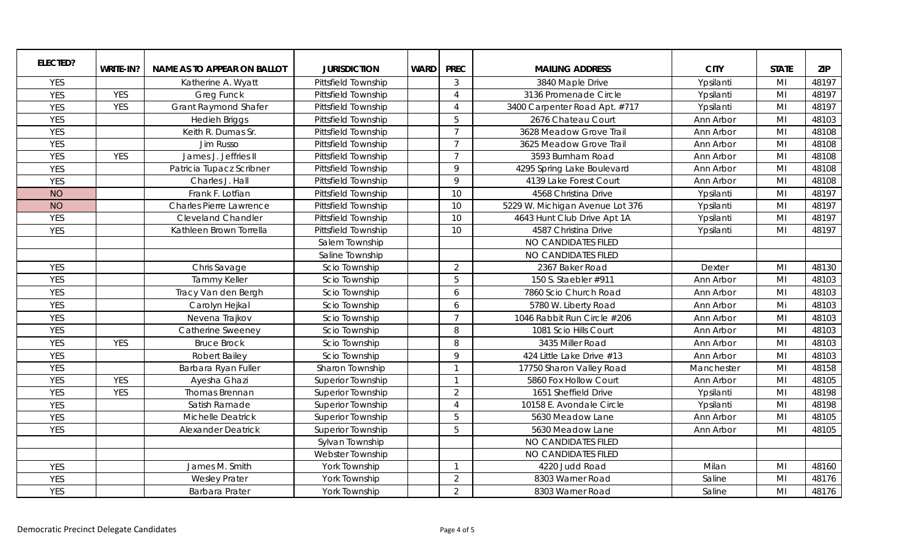| ELECTED?   |            |                             |                          |             |                          |                                 |             |                |            |
|------------|------------|-----------------------------|--------------------------|-------------|--------------------------|---------------------------------|-------------|----------------|------------|
|            | WRITE-IN?  | NAME AS TO APPEAR ON BALLOT | <b>JURISDICTION</b>      | <b>WARD</b> | <b>PREC</b>              | <b>MAILING ADDRESS</b>          | <b>CITY</b> | <b>STATE</b>   | <b>ZIP</b> |
| <b>YES</b> |            | Katherine A. Wyatt          | Pittsfield Township      |             | $\mathbf{3}$             | 3840 Maple Drive                | Ypsilanti   | MI             | 48197      |
| <b>YES</b> | <b>YES</b> | <b>Greg Funck</b>           | Pittsfield Township      |             | $\overline{4}$           | 3136 Promenade Circle           | Ypsilanti   | M <sub>l</sub> | 48197      |
| <b>YES</b> | <b>YES</b> | <b>Grant Raymond Shafer</b> | Pittsfield Township      |             | $\overline{4}$           | 3400 Carpenter Road Apt. #717   | Ypsilanti   | MI             | 48197      |
| <b>YES</b> |            | <b>Hedieh Briggs</b>        | Pittsfield Township      |             | 5                        | 2676 Chateau Court              | Ann Arbor   | MI             | 48103      |
| <b>YES</b> |            | Keith R. Dumas Sr.          | Pittsfield Township      |             | $\overline{7}$           | 3628 Meadow Grove Trail         | Ann Arbor   | M <sub>l</sub> | 48108      |
| <b>YES</b> |            | Jim Russo                   | Pittsfield Township      |             | $\overline{7}$           | 3625 Meadow Grove Trail         | Ann Arbor   | MI             | 48108      |
| <b>YES</b> | <b>YES</b> | James J. Jeffries II        | Pittsfield Township      |             | $\overline{7}$           | 3593 Burnham Road               | Ann Arbor   | MI             | 48108      |
| <b>YES</b> |            | Patricia Tupacz Scribner    | Pittsfield Township      |             | $\mathsf{Q}$             | 4295 Spring Lake Boulevard      | Ann Arbor   | MI             | 48108      |
| <b>YES</b> |            | Charles J. Hall             | Pittsfield Township      |             | $\mathsf{Q}$             | 4139 Lake Forest Court          | Ann Arbor   | MI             | 48108      |
| <b>NO</b>  |            | Frank F. Lotfian            | Pittsfield Township      |             | 10                       | 4568 Christina Drive            | Ypsilanti   | M <sub>l</sub> | 48197      |
| <b>NO</b>  |            | Charles Pierre Lawrence     | Pittsfield Township      |             | 10                       | 5229 W. Michigan Avenue Lot 376 | Ypsilanti   | MI             | 48197      |
| <b>YES</b> |            | <b>Cleveland Chandler</b>   | Pittsfield Township      |             | 10                       | 4643 Hunt Club Drive Apt 1A     | Ypsilanti   | MI             | 48197      |
| <b>YES</b> |            | Kathleen Brown Torrella     | Pittsfield Township      |             | 10                       | 4587 Christina Drive            | Ypsilanti   | M <sub>l</sub> | 48197      |
|            |            |                             | Salem Township           |             |                          | NO CANDIDATES FILED             |             |                |            |
|            |            |                             | Saline Township          |             |                          | NO CANDIDATES FILED             |             |                |            |
| <b>YES</b> |            | Chris Savage                | Scio Township            |             | $\overline{2}$           | 2367 Baker Road                 | Dexter      | M <sub>l</sub> | 48130      |
| <b>YES</b> |            | <b>Tammy Keller</b>         | Scio Township            |             | 5                        | 150 S. Staebler #911            | Ann Arbor   | MI             | 48103      |
| <b>YES</b> |            | Tracy Van den Bergh         | Scio Township            |             | 6                        | 7860 Scio Church Road           | Ann Arbor   | MI             | 48103      |
| <b>YES</b> |            | Carolyn Hejkal              | Scio Township            |             | 6                        | 5780 W. Liberty Road            | Ann Arbor   | Mi             | 48103      |
| <b>YES</b> |            | Nevena Trajkov              | Scio Township            |             | $\overline{7}$           | 1046 Rabbit Run Circle #206     | Ann Arbor   | MI             | 48103      |
| <b>YES</b> |            | Catherine Sweeney           | Scio Township            |             | 8                        | 1081 Scio Hills Court           | Ann Arbor   | M <sub>l</sub> | 48103      |
| <b>YES</b> | <b>YES</b> | <b>Bruce Brock</b>          | Scio Township            |             | 8                        | 3435 Miller Road                | Ann Arbor   | MI             | 48103      |
| <b>YES</b> |            | Robert Bailey               | Scio Township            |             | $\mathsf{Q}$             | 424 Little Lake Drive #13       | Ann Arbor   | MI             | 48103      |
| <b>YES</b> |            | Barbara Ryan Fuller         | Sharon Township          |             | $\overline{1}$           | 17750 Sharon Valley Road        | Manchester  | MI             | 48158      |
| <b>YES</b> | <b>YES</b> | Ayesha Ghazi                | <b>Superior Township</b> |             | $\overline{\mathbf{1}}$  | 5860 Fox Hollow Court           | Ann Arbor   | MI             | 48105      |
| <b>YES</b> | <b>YES</b> | Thomas Brennan              | <b>Superior Township</b> |             | 2                        | 1651 Sheffield Drive            | Ypsilanti   | M <sub>l</sub> | 48198      |
| <b>YES</b> |            | Satish Ramade               | <b>Superior Township</b> |             | $\Delta$                 | 10158 E. Avondale Circle        | Ypsilanti   | M <sub>l</sub> | 48198      |
| <b>YES</b> |            | Michelle Deatrick           | <b>Superior Township</b> |             | 5                        | 5630 Meadow Lane                | Ann Arbor   | M <sub>l</sub> | 48105      |
| <b>YES</b> |            | <b>Alexander Deatrick</b>   | <b>Superior Township</b> |             | 5                        | 5630 Meadow Lane                | Ann Arbor   | MI             | 48105      |
|            |            |                             | Sylvan Township          |             |                          | NO CANDIDATES FILED             |             |                |            |
|            |            |                             | Webster Township         |             |                          | NO CANDIDATES FILED             |             |                |            |
| <b>YES</b> |            | James M. Smith              | York Township            |             | $\overline{\phantom{0}}$ | 4220 Judd Road                  | Milan       | MI             | 48160      |
| <b>YES</b> |            | <b>Wesley Prater</b>        | York Township            |             | 2                        | 8303 Warner Road                | Saline      | M <sub>l</sub> | 48176      |
| <b>YES</b> |            | Barbara Prater              | York Township            |             | $\overline{2}$           | 8303 Warner Road                | Saline      | M <sub>l</sub> | 48176      |